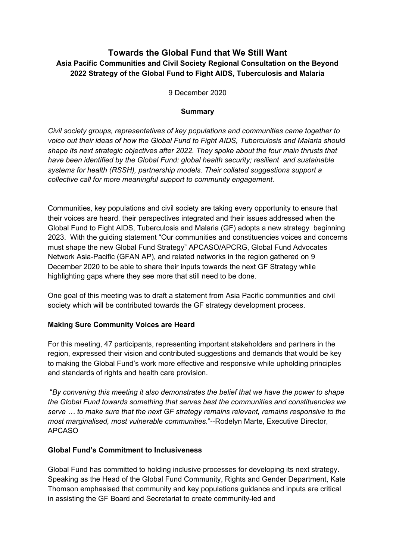## **Towards the Global Fund that We Still Want Asia Pacific Communities and Civil Society Regional Consultation on the Beyond 2022 Strategy of the Global Fund to Fight AIDS, Tuberculosis and Malaria**

9 December 2020

#### **Summary**

*Civil society groups, representatives of key populations and communities came together to voice out their ideas of how the Global Fund to Fight AIDS, Tuberculosis and Malaria should shape its next strategic objectives after 2022. They spoke about the four main thrusts that have been identified by the Global Fund: global health security; resilient and sustainable systems for health (RSSH), partnership models. Their collated suggestions support a collective call for more meaningful support to community engagement.* 

Communities, key populations and civil society are taking every opportunity to ensure that their voices are heard, their perspectives integrated and their issues addressed when the Global Fund to Fight AIDS, Tuberculosis and Malaria (GF) adopts a new strategy beginning 2023. With the guiding statement "Our communities and constituencies voices and concerns must shape the new Global Fund Strategy" APCASO/APCRG, Global Fund Advocates Network Asia-Pacific (GFAN AP), and related networks in the region gathered on 9 December 2020 to be able to share their inputs towards the next GF Strategy while highlighting gaps where they see more that still need to be done.

One goal of this meeting was to draft a statement from Asia Pacific communities and civil society which will be contributed towards the GF strategy development process.

## **Making Sure Community Voices are Heard**

For this meeting, 47 participants, representing important stakeholders and partners in the region, expressed their vision and contributed suggestions and demands that would be key to making the Global Fund's work more effective and responsive while upholding principles and standards of rights and health care provision.

 "*By convening this meeting it also demonstrates the belief that we have the power to shape the Global Fund towards something that serves best the communities and constituencies we serve … to make sure that the next GF strategy remains relevant, remains responsive to the most marginalised, most vulnerable communities*."--Rodelyn Marte, Executive Director, APCASO

## **Global Fund's Commitment to Inclusiveness**

Global Fund has committed to holding inclusive processes for developing its next strategy. Speaking as the Head of the Global Fund Community, Rights and Gender Department, Kate Thomson emphasised that community and key populations guidance and inputs are critical in assisting the GF Board and Secretariat to create community-led and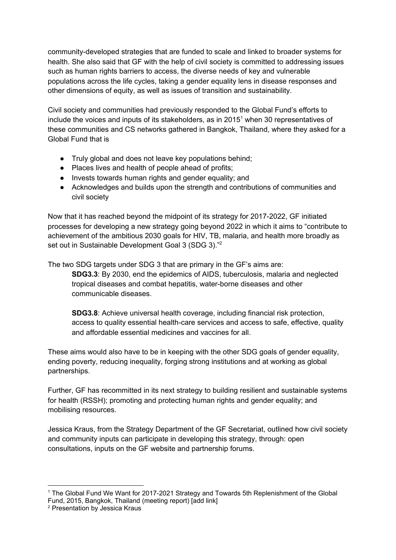community-developed strategies that are funded to scale and linked to broader systems for health. She also said that GF with the help of civil society is committed to addressing issues such as human rights barriers to access, the diverse needs of key and vulnerable populations across the life cycles, taking a gender equality lens in disease responses and other dimensions of equity, as well as issues of transition and sustainability.

Civil society and communities had previously responded to the Global Fund's efforts to include the voices and inputs of its stakeholders, as in 2015<sup>1</sup> when 30 representatives of these communities and CS networks gathered in Bangkok, Thailand, where they asked for a Global Fund that is

- Truly global and does not leave key populations behind;
- Places lives and health of people ahead of profits;
- Invests towards human rights and gender equality; and
- Acknowledges and builds upon the strength and contributions of communities and civil society

Now that it has reached beyond the midpoint of its strategy for 2017-2022, GF initiated processes for developing a new strategy going beyond 2022 in which it aims to "contribute to achievement of the ambitious 2030 goals for HIV, TB, malaria, and health more broadly as set out in Sustainable Development Goal 3 (SDG 3)."<sup>2</sup>

The two SDG targets under SDG 3 that are primary in the GF's aims are:

**SDG3.3**: By 2030, end the epidemics of AIDS, tuberculosis, malaria and neglected tropical diseases and combat hepatitis, water-borne diseases and other communicable diseases.

**SDG3.8**: Achieve universal health coverage, including financial risk protection, access to quality essential health-care services and access to safe, effective, quality and affordable essential medicines and vaccines for all.

These aims would also have to be in keeping with the other SDG goals of gender equality, ending poverty, reducing inequality, forging strong institutions and at working as global partnerships.

Further, GF has recommitted in its next strategy to building resilient and sustainable systems for health (RSSH); promoting and protecting human rights and gender equality; and mobilising resources.

Jessica Kraus, from the Strategy Department of the GF Secretariat, outlined how civil society and community inputs can participate in developing this strategy, through: open consultations, inputs on the GF website and partnership forums.

<sup>&</sup>lt;sup>1</sup> The Global Fund We Want for 2017-2021 Strategy and Towards 5th Replenishment of the Global Fund, 2015, Bangkok, Thailand (meeting report) [add link]

<sup>2</sup> Presentation by Jessica Kraus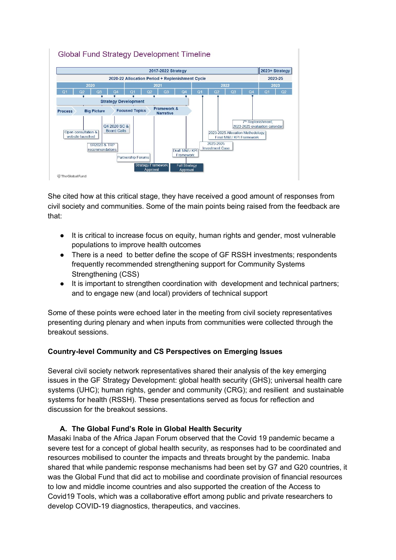

She cited how at this critical stage, they have received a good amount of responses from civil society and communities. Some of the main points being raised from the feedback are that:

- It is critical to increase focus on equity, human rights and gender, most vulnerable populations to improve health outcomes
- There is a need to better define the scope of GF RSSH investments; respondents frequently recommended strengthening support for Community Systems Strengthening (CSS)
- It is important to strengthen coordination with development and technical partners; and to engage new (and local) providers of technical support

S*o*me of these points were echoed later in the meeting from civil society representatives presenting during plenary and when inputs from communities were collected through the breakout sessions.

## **Country-level Community and CS Perspectives on Emerging Issues**

Several civil society network representatives shared their analysis of the key emerging issues in the GF Strategy Development: global health security (GHS); universal health care systems (UHC); human rights, gender and community (CRG); and resilient and sustainable systems for health (RSSH). These presentations served as focus for reflection and discussion for the breakout sessions.

## **A. The Global Fund's Role in Global Health Security**

Masaki Inaba of the Africa Japan Forum observed that the Covid 19 pandemic became a severe test for a concept of global health security, as responses had to be coordinated and resources mobilised to counter the impacts and threats brought by the pandemic. Inaba shared that while pandemic response mechanisms had been set by G7 and G20 countries, it was the Global Fund that did act to mobilise and coordinate provision of financial resources to low and middle income countries and also supported the creation of the Access to Covid19 Tools, which was a collaborative effort among public and private researchers to develop COVID-19 diagnostics, therapeutics, and vaccines.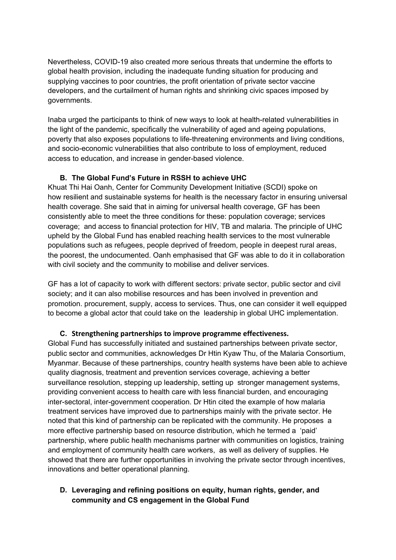Nevertheless, COVID-19 also created more serious threats that undermine the efforts to global health provision, including the inadequate funding situation for producing and supplying vaccines to poor countries, the profit orientation of private sector vaccine developers, and the curtailment of human rights and shrinking civic spaces imposed by governments.

Inaba urged the participants to think of new ways to look at health-related vulnerabilities in the light of the pandemic, specifically the vulnerability of aged and ageing populations, poverty that also exposes populations to life-threatening environments and living conditions, and socio-economic vulnerabilities that also contribute to loss of employment, reduced access to education, and increase in gender-based violence.

#### **B. The Global Fund's Future in RSSH to achieve UHC**

Khuat Thi Hai Oanh, Center for Community Development Initiative (SCDI) spoke on how resilient and sustainable systems for health is the necessary factor in ensuring universal health coverage. She said that in aiming for universal health coverage, GF has been consistently able to meet the three conditions for these: population coverage; services coverage; and access to financial protection for HIV, TB and malaria. The principle of UHC upheld by the Global Fund has enabled reaching health services to the most vulnerable populations such as refugees, people deprived of freedom, people in deepest rural areas, the poorest, the undocumented. Oanh emphasised that GF was able to do it in collaboration with civil society and the community to mobilise and deliver services.

GF has a lot of capacity to work with different sectors: private sector, public sector and civil society; and it can also mobilise resources and has been involved in prevention and promotion. procurement, supply, access to services. Thus, one can consider it well equipped to become a global actor that could take on the leadership in global UHC implementation.

#### **C. Strengthening partnerships to improve programme effectiveness.**

Global Fund has successfully initiated and sustained partnerships between private sector, public sector and communities, acknowledges Dr Htin Kyaw Thu, of the Malaria Consortium, Myanmar. Because of these partnerships, country health systems have been able to achieve quality diagnosis, treatment and prevention services coverage, achieving a better surveillance resolution, stepping up leadership, setting up stronger management systems, providing convenient access to health care with less financial burden, and encouraging inter-sectoral, inter-government cooperation. Dr Htin cited the example of how malaria treatment services have improved due to partnerships mainly with the private sector. He noted that this kind of partnership can be replicated with the community. He proposes a more effective partnership based on resource distribution, which he termed a 'paid' partnership, where public health mechanisms partner with communities on logistics, training and employment of community health care workers, as well as delivery of supplies. He showed that there are further opportunities in involving the private sector through incentives, innovations and better operational planning.

**D. Leveraging and refining positions on equity, human rights, gender, and community and CS engagement in the Global Fund**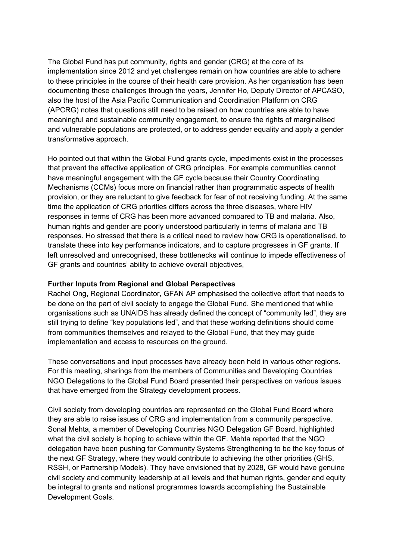The Global Fund has put community, rights and gender (CRG) at the core of its implementation since 2012 and yet challenges remain on how countries are able to adhere to these principles in the course of their health care provision. As her organisation has been documenting these challenges through the years, Jennifer Ho, Deputy Director of APCASO, also the host of the Asia Pacific Communication and Coordination Platform on CRG (APCRG) notes that questions still need to be raised on how countries are able to have meaningful and sustainable community engagement, to ensure the rights of marginalised and vulnerable populations are protected, or to address gender equality and apply a gender transformative approach.

Ho pointed out that within the Global Fund grants cycle, impediments exist in the processes that prevent the effective application of CRG principles. For example communities cannot have meaningful engagement with the GF cycle because their Country Coordinating Mechanisms (CCMs) focus more on financial rather than programmatic aspects of health provision, or they are reluctant to give feedback for fear of not receiving funding. At the same time the application of CRG priorities differs across the three diseases, where HIV responses in terms of CRG has been more advanced compared to TB and malaria. Also, human rights and gender are poorly understood particularly in terms of malaria and TB responses. Ho stressed that there is a critical need to review how CRG is operationalised, to translate these into key performance indicators, and to capture progresses in GF grants. If left unresolved and unrecognised, these bottlenecks will continue to impede effectiveness of GF grants and countries' ability to achieve overall objectives,

#### **Further Inputs from Regional and Global Perspectives**

Rachel Ong, Regional Coordinator, GFAN AP emphasised the collective effort that needs to be done on the part of civil society to engage the Global Fund. She mentioned that while organisations such as UNAIDS has already defined the concept of "community led", they are still trying to define "key populations led", and that these working definitions should come from communities themselves and relayed to the Global Fund, that they may guide implementation and access to resources on the ground.

These conversations and input processes have already been held in various other regions. For this meeting, sharings from the members of Communities and Developing Countries NGO Delegations to the Global Fund Board presented their perspectives on various issues that have emerged from the Strategy development process.

Civil society from developing countries are represented on the Global Fund Board where they are able to raise issues of CRG and implementation from a community perspective. Sonal Mehta, a member of Developing Countries NGO Delegation GF Board, highlighted what the civil society is hoping to achieve within the GF. Mehta reported that the NGO delegation have been pushing for Community Systems Strengthening to be the key focus of the next GF Strategy, where they would contribute to achieving the other priorities (GHS, RSSH, or Partnership Models). They have envisioned that by 2028, GF would have genuine civil society and community leadership at all levels and that human rights, gender and equity be integral to grants and national programmes towards accomplishing the Sustainable Development Goals.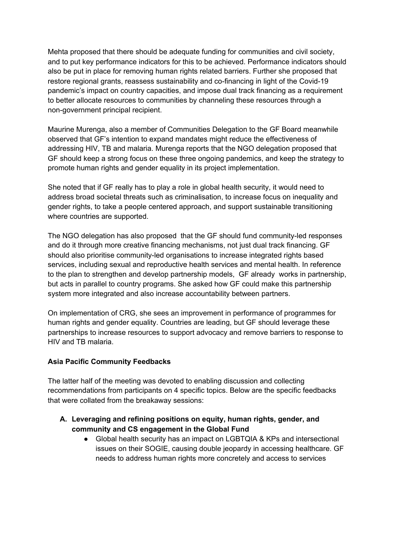Mehta proposed that there should be adequate funding for communities and civil society, and to put key performance indicators for this to be achieved. Performance indicators should also be put in place for removing human rights related barriers. Further she proposed that restore regional grants, reassess sustainability and co-financing in light of the Covid-19 pandemic's impact on country capacities, and impose dual track financing as a requirement to better allocate resources to communities by channeling these resources through a non-government principal recipient.

Maurine Murenga, also a member of Communities Delegation to the GF Board meanwhile observed that GF's intention to expand mandates might reduce the effectiveness of addressing HIV, TB and malaria. Murenga reports that the NGO delegation proposed that GF should keep a strong focus on these three ongoing pandemics, and keep the strategy to promote human rights and gender equality in its project implementation.

She noted that if GF really has to play a role in global health security, it would need to address broad societal threats such as criminalisation, to increase focus on inequality and gender rights, to take a people centered approach, and support sustainable transitioning where countries are supported.

The NGO delegation has also proposed that the GF should fund community-led responses and do it through more creative financing mechanisms, not just dual track financing. GF should also prioritise community-led organisations to increase integrated rights based services, including sexual and reproductive health services and mental health. In reference to the plan to strengthen and develop partnership models, GF already works in partnership, but acts in parallel to country programs. She asked how GF could make this partnership system more integrated and also increase accountability between partners.

On implementation of CRG, she sees an improvement in performance of programmes for human rights and gender equality. Countries are leading, but GF should leverage these partnerships to increase resources to support advocacy and remove barriers to response to HIV and TB malaria.

#### **Asia Pacific Community Feedbacks**

The latter half of the meeting was devoted to enabling discussion and collecting recommendations from participants on 4 specific topics. Below are the specific feedbacks that were collated from the breakaway sessions:

- **A. Leveraging and refining positions on equity, human rights, gender, and community and CS engagement in the Global Fund** 
	- Global health security has an impact on LGBTQIA & KPs and intersectional issues on their SOGIE, causing double jeopardy in accessing healthcare. GF needs to address human rights more concretely and access to services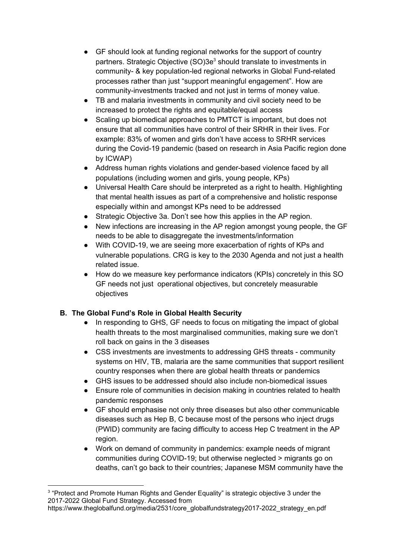- GF should look at funding regional networks for the support of country partners. Strategic Objective (SO)3e<sup>3</sup> should translate to investments in community- & key population-led regional networks in Global Fund-related processes rather than just "support meaningful engagement". How are community-investments tracked and not just in terms of money value.
- TB and malaria investments in community and civil society need to be increased to protect the rights and equitable/equal access
- Scaling up biomedical approaches to PMTCT is important, but does not ensure that all communities have control of their SRHR in their lives. For example: 83% of women and girls don't have access to SRHR services during the Covid-19 pandemic (based on research in Asia Pacific region done by ICWAP)
- Address human rights violations and gender-based violence faced by all populations (including women and girls, young people, KPs)
- Universal Health Care should be interpreted as a right to health. Highlighting that mental health issues as part of a comprehensive and holistic response especially within and amongst KPs need to be addressed
- Strategic Objective 3a. Don't see how this applies in the AP region.
- New infections are increasing in the AP region amongst young people, the GF needs to be able to disaggregate the investments/information
- With COVID-19, we are seeing more exacerbation of rights of KPs and vulnerable populations. CRG is key to the 2030 Agenda and not just a health related issue.
- How do we measure key performance indicators (KPIs) concretely in this SO GF needs not just operational objectives, but concretely measurable objectives

## **B. The Global Fund's Role in Global Health Security**

- In responding to GHS, GF needs to focus on mitigating the impact of global health threats to the most marginalised communities, making sure we don't roll back on gains in the 3 diseases
- CSS investments are investments to addressing GHS threats community systems on HIV, TB, malaria are the same communities that support resilient country responses when there are global health threats or pandemics
- GHS issues to be addressed should also include non-biomedical issues
- Ensure role of communities in decision making in countries related to health pandemic responses
- GF should emphasise not only three diseases but also other communicable diseases such as Hep B, C because most of the persons who inject drugs (PWID) community are facing difficulty to access Hep C treatment in the AP region.
- Work on demand of community in pandemics: example needs of migrant communities during COVID-19; but otherwise neglected > migrants go on deaths, can't go back to their countries; Japanese MSM community have the

<sup>&</sup>lt;sup>3</sup> "Protect and Promote Human Rights and Gender Equality" is strategic objective 3 under the 2017-2022 Global Fund Strategy. Accessed from

https://www.theglobalfund.org/media/2531/core\_globalfundstrategy2017-2022\_strategy\_en.pdf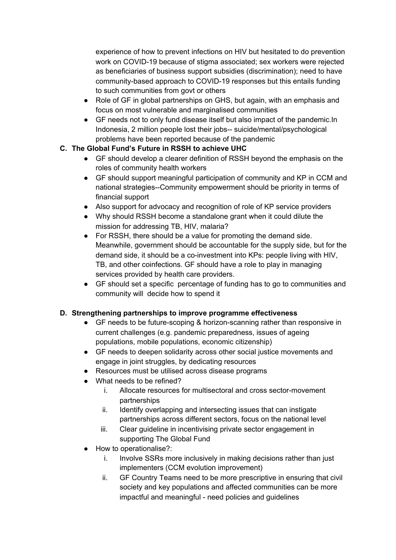experience of how to prevent infections on HIV but hesitated to do prevention work on COVID-19 because of stigma associated; sex workers were rejected as beneficiaries of business support subsidies (discrimination); need to have community-based approach to COVID-19 responses but this entails funding to such communities from govt or others

- Role of GF in global partnerships on GHS, but again, with an emphasis and focus on most vulnerable and marginalised communities
- GF needs not to only fund disease itself but also impact of the pandemic.In Indonesia, 2 million people lost their jobs-- suicide/mental/psychological problems have been reported because of the pandemic

## **C. The Global Fund's Future in RSSH to achieve UHC**

- GF should develop a clearer definition of RSSH beyond the emphasis on the roles of community health workers
- GF should support meaningful participation of community and KP in CCM and national strategies--Community empowerment should be priority in terms of financial support
- Also support for advocacy and recognition of role of KP service providers
- Why should RSSH become a standalone grant when it could dilute the mission for addressing TB, HIV, malaria?
- For RSSH, there should be a value for promoting the demand side. Meanwhile, government should be accountable for the supply side, but for the demand side, it should be a co-investment into KPs: people living with HIV, TB, and other coinfections. GF should have a role to play in managing services provided by health care providers.
- GF should set a specific percentage of funding has to go to communities and community will decide how to spend it

## **D. Strengthening partnerships to improve programme effectiveness**

- GF needs to be future-scoping & horizon-scanning rather than responsive in current challenges (e.g. pandemic preparedness, issues of ageing populations, mobile populations, economic citizenship)
- GF needs to deepen solidarity across other social justice movements and engage in joint struggles, by dedicating resources
- Resources must be utilised across disease programs
- What needs to be refined?
	- i. Allocate resources for multisectoral and cross sector-movement partnerships
	- ii. Identify overlapping and intersecting issues that can instigate partnerships across different sectors, focus on the national level
	- iii. Clear guideline in incentivising private sector engagement in supporting The Global Fund
- How to operationalise?:
	- i. Involve SSRs more inclusively in making decisions rather than just implementers (CCM evolution improvement)
	- ii. GF Country Teams need to be more prescriptive in ensuring that civil society and key populations and affected communities can be more impactful and meaningful - need policies and guidelines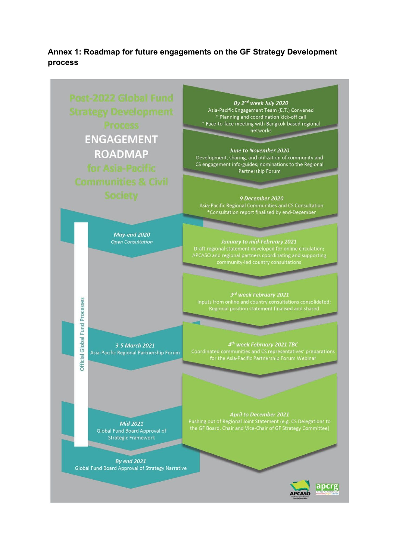**Annex 1: Roadmap for future engagements on the GF Strategy Development process** 

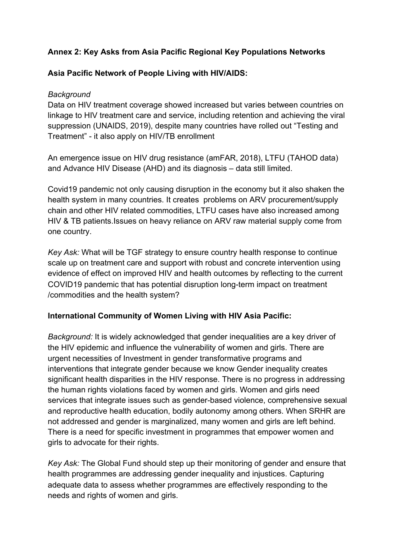# **Annex 2: Key Asks from Asia Pacific Regional Key Populations Networks**

# **Asia Pacific Network of People Living with HIV/AIDS:**

## *Background*

Data on HIV treatment coverage showed increased but varies between countries on linkage to HIV treatment care and service, including retention and achieving the viral suppression (UNAIDS, 2019), despite many countries have rolled out "Testing and Treatment" - it also apply on HIV/TB enrollment

An emergence issue on HIV drug resistance (amFAR, 2018), LTFU (TAHOD data) and Advance HIV Disease (AHD) and its diagnosis – data still limited.

Covid19 pandemic not only causing disruption in the economy but it also shaken the health system in many countries. It creates problems on ARV procurement/supply chain and other HIV related commodities, LTFU cases have also increased among HIV & TB patients.Issues on heavy reliance on ARV raw material supply come from one country.

*Key Ask:* What will be TGF strategy to ensure country health response to continue scale up on treatment care and support with robust and concrete intervention using evidence of effect on improved HIV and health outcomes by reflecting to the current COVID19 pandemic that has potential disruption long-term impact on treatment /commodities and the health system?

## **International Community of Women Living with HIV Asia Pacific:**

*Background:* It is widely acknowledged that gender inequalities are a key driver of the HIV epidemic and influence the vulnerability of women and girls. There are urgent necessities of Investment in gender transformative programs and interventions that integrate gender because we know Gender inequality creates significant health disparities in the HIV response. There is no progress in addressing the human rights violations faced by women and girls. Women and girls need services that integrate issues such as gender-based violence, comprehensive sexual and reproductive health education, bodily autonomy among others. When SRHR are not addressed and gender is marginalized, many women and girls are left behind. There is a need for specific investment in programmes that empower women and girls to advocate for their rights.

*Key Ask:* The Global Fund should step up their monitoring of gender and ensure that health programmes are addressing gender inequality and injustices. Capturing adequate data to assess whether programmes are effectively responding to the needs and rights of women and girls.